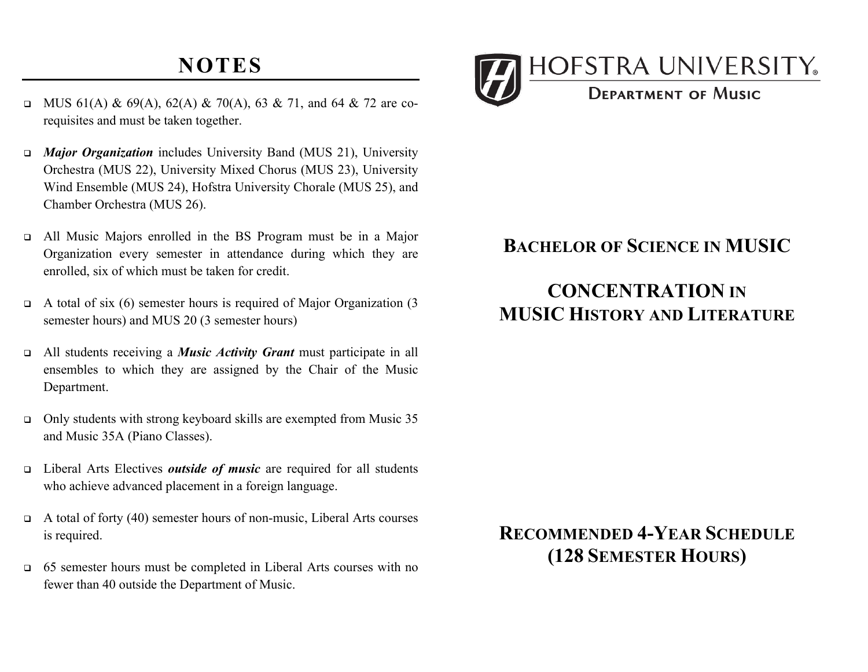# **NOTES**

- MUS 61(A) & 69(A), 62(A) & 70(A), 63 & 71, and 64 & 72 are corequisites and must be taken together.
- • *Major Organization* includes University Band (MUS 21), University Orchestra (MUS 22), University Mixed Chorus (MUS 23), University Wind Ensemble (MUS 24), Hofstra University Chorale (MUS 25), and Chamber Orchestra (MUS 26).
- • All Music Majors enrolled in the BS Program must be in a Major Organization every semester in attendance during which they are enrolled, six of which must be taken for credit.
- $\Box$  A total of six (6) semester hours is required of Major Organization (3 semester hours) and MUS 20 (3 semester hours)
- • All students receiving a *Music Activity Grant* must participate in all ensembles to which they are assigned by the Chair of the Music Department.
- $\Box$  Only students with strong keyboard skills are exempted from Music 35 and Music 35A (Piano Classes).
- • Liberal Arts Electives *outside of music* are required for all students who achieve advanced placement in a foreign language.
- $\Box$  A total of forty (40) semester hours of non-music, Liberal Arts courses is required.
- • 65 semester hours must be completed in Liberal Arts courses with no fewer than 40 outside the Department of Music.



#### **BACHELOR OF SCIENCE IN MUSIC**

### **MUSIC HISTORY AND LITERATURE CONCENTRATION IN**

## **RECOMMENDED 4-YEAR SCHEDULE (128 SEMESTER HOURS)**